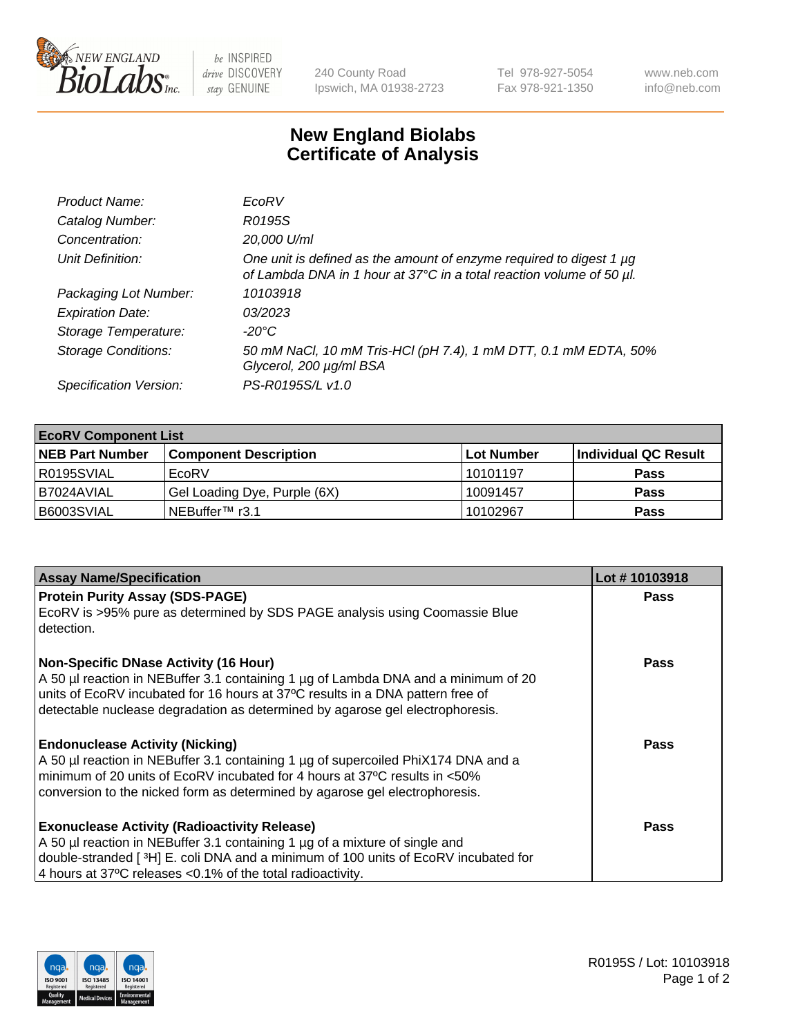

 $be$  INSPIRED drive DISCOVERY stay GENUINE

240 County Road Ipswich, MA 01938-2723 Tel 978-927-5054 Fax 978-921-1350 www.neb.com info@neb.com

## **New England Biolabs Certificate of Analysis**

| Product Name:              | EcoRV                                                                                                                                       |
|----------------------------|---------------------------------------------------------------------------------------------------------------------------------------------|
| Catalog Number:            | R0195S                                                                                                                                      |
| Concentration:             | 20,000 U/ml                                                                                                                                 |
| Unit Definition:           | One unit is defined as the amount of enzyme required to digest 1 µg<br>of Lambda DNA in 1 hour at 37°C in a total reaction volume of 50 µl. |
| Packaging Lot Number:      | 10103918                                                                                                                                    |
| <b>Expiration Date:</b>    | 03/2023                                                                                                                                     |
| Storage Temperature:       | -20°C                                                                                                                                       |
| <b>Storage Conditions:</b> | 50 mM NaCl, 10 mM Tris-HCl (pH 7.4), 1 mM DTT, 0.1 mM EDTA, 50%<br>Glycerol, 200 µg/ml BSA                                                  |
| Specification Version:     | PS-R0195S/L v1.0                                                                                                                            |

| <b>EcoRV Component List</b> |                              |                   |                      |  |  |
|-----------------------------|------------------------------|-------------------|----------------------|--|--|
| <b>NEB Part Number</b>      | <b>Component Description</b> | <b>Lot Number</b> | Individual QC Result |  |  |
| I R0195SVIAL                | EcoRV                        | 10101197          | <b>Pass</b>          |  |  |
| I B7024AVIAL                | Gel Loading Dye, Purple (6X) | 10091457          | <b>Pass</b>          |  |  |
| B6003SVIAL                  | INEBuffer™ r3.1              | 10102967          | <b>Pass</b>          |  |  |

| <b>Assay Name/Specification</b>                                                                                                                                 | Lot #10103918 |
|-----------------------------------------------------------------------------------------------------------------------------------------------------------------|---------------|
| <b>Protein Purity Assay (SDS-PAGE)</b>                                                                                                                          | <b>Pass</b>   |
| EcoRV is >95% pure as determined by SDS PAGE analysis using Coomassie Blue<br>detection.                                                                        |               |
| <b>Non-Specific DNase Activity (16 Hour)</b>                                                                                                                    | Pass          |
| A 50 µl reaction in NEBuffer 3.1 containing 1 µg of Lambda DNA and a minimum of 20                                                                              |               |
| units of EcoRV incubated for 16 hours at 37°C results in a DNA pattern free of<br>detectable nuclease degradation as determined by agarose gel electrophoresis. |               |
|                                                                                                                                                                 |               |
| <b>Endonuclease Activity (Nicking)</b>                                                                                                                          | Pass          |
| A 50 µl reaction in NEBuffer 3.1 containing 1 µg of supercoiled PhiX174 DNA and a                                                                               |               |
| I minimum of 20 units of EcoRV incubated for 4 hours at 37°C results in <50%                                                                                    |               |
| conversion to the nicked form as determined by agarose gel electrophoresis.                                                                                     |               |
| <b>Exonuclease Activity (Radioactivity Release)</b>                                                                                                             | Pass          |
| A 50 µl reaction in NEBuffer 3.1 containing 1 µg of a mixture of single and                                                                                     |               |
| double-stranded [ <sup>3</sup> H] E. coli DNA and a minimum of 100 units of EcoRV incubated for                                                                 |               |
| 4 hours at 37°C releases < 0.1% of the total radioactivity.                                                                                                     |               |